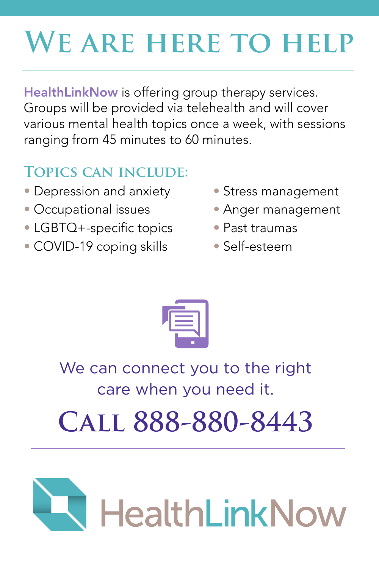# **We are here to help**

HealthLinkNow is offering group therapy services. Groups will be provided via telehealth and will cover various mental health topics once a week, with sessions ranging from 45 minutes to 60 minutes.

### **Topics can include:**

- Depression and anxiety Stress management
- Occupational issues Anger management
- LGBTQ+-specific topics Past traumas
- COVID-19 coping skills Self-esteem
- 
- 
- -



## We can connect you to the right care when you need it.

# **Call 888-880-8443**